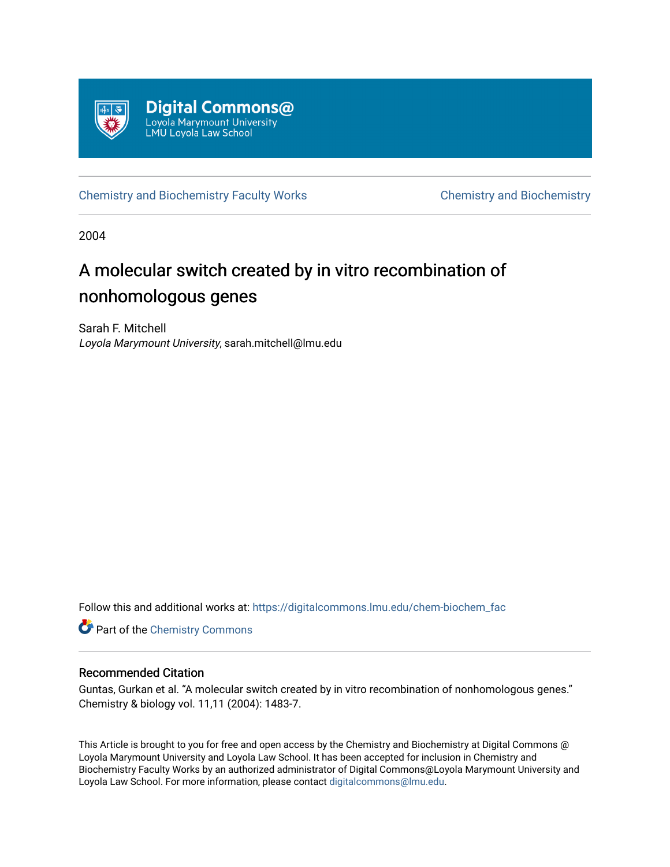

[Chemistry and Biochemistry Faculty Works](https://digitalcommons.lmu.edu/chem-biochem_fac) [Chemistry and Biochemistry](https://digitalcommons.lmu.edu/chem-biochem) 

2004

# A molecular switch created by in vitro recombination of nonhomologous genes

Sarah F. Mitchell Loyola Marymount University, sarah.mitchell@lmu.edu

Follow this and additional works at: [https://digitalcommons.lmu.edu/chem-biochem\\_fac](https://digitalcommons.lmu.edu/chem-biochem_fac?utm_source=digitalcommons.lmu.edu%2Fchem-biochem_fac%2F14&utm_medium=PDF&utm_campaign=PDFCoverPages) 

**Part of the Chemistry Commons** 

### Recommended Citation

Guntas, Gurkan et al. "A molecular switch created by in vitro recombination of nonhomologous genes." Chemistry & biology vol. 11,11 (2004): 1483-7.

This Article is brought to you for free and open access by the Chemistry and Biochemistry at Digital Commons @ Loyola Marymount University and Loyola Law School. It has been accepted for inclusion in Chemistry and Biochemistry Faculty Works by an authorized administrator of Digital Commons@Loyola Marymount University and Loyola Law School. For more information, please contact [digitalcommons@lmu.edu](mailto:digitalcommons@lmu.edu).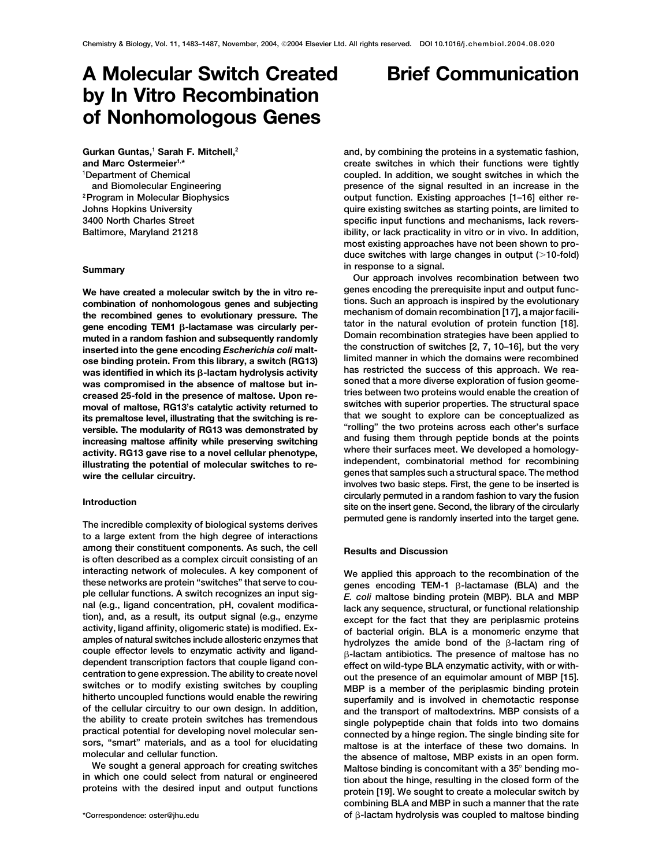## **A Molecular Switch Created Brief Communication by In Vitro Recombination of Nonhomologous Genes**

**Gurkan Guntas,1 Sarah F. Mitchell,2 and Marc Ostermeier1,\* 1 Department of Chemical and Biomolecular Engineering 2Program in Molecular Biophysics**

its premaltose level, illustrating that the switching is re-<br>versible. The modularity of RG13 was demonstrated by<br>increasing maltose affinity while preserving switching<br>activity. RG13 gave rise to a novel cellular phenotyp

**to a large extent from the high degree of interactions among their constituent components. As such, the cell Results and Discussion is often described as a complex circuit consisting of an** interacting network of molecules. A key component of **We applied this approach to the recombination of the**<br>these networks are protein "switches" that serve to cou-<br>ple cellular functions. A switch recognizes an input sig TEM-1  $\beta$ -lactamase (BLA) and the<br>ple cellular functions. A switch recognizes an input sig-<br>nal (e.g., ligand concentration, pH, covalent modifica-<br>tion), and, as a result, its output signal (e.g., enzyme<br>activity, ligan amples of natural switches include allosteric enzymes that  $\beta$ -lactam antibiotics. The presence of maltose has no<br>dependent transcription factors that couple ligand con-<br>dependent transcription factors that couple ligand couple enector levels to enzymatic activity and ligand-<br>dependent transcription factors that couple ligand con-<br>centration to gene expression. The ability to create novel<br>switches or to modify existing switches by couplin

**and, by combining the proteins in a systematic fashion, create switches in which their functions were tightly coupled. In addition, we sought switches in which the presence of the signal resulted in an increase in the output function. Existing approaches [1–16] either re-Johns Hopkins University quire existing switches as starting points, are limited to 3400 North Charles Street specific input functions and mechanisms, lack revers-Baltimore, Maryland 21218 ibility, or lack practicality in vitro or in vivo. In addition, most existing approaches have not been shown to produce switches with large changes in output (10-fold) in response to a signal. Summary Our approach involves recombination between two**

We have created a molecular switch by the in vitro re-<br> **genes encoding** the prerequisite input and output func-<br> **Such an approach is inspired by the evolutionary**<br> **Such an approach is inspired by the evolutionary** combination of nonhomologous genes and subjecting<br>the recombined genes to evolutionary pressure. The<br>gene encoding TEM1 β-lactamase was circularly per-<br>muted in a random fashion and subsequently randomly<br>muted in a random muted in a random fashion and subsequently randomly<br>inserted into the gene encoding *Escherichia coli* malt-<br>ne construction of switches [2, 7, 10–16], but the very<br>ose binding protein. From this library, a switch (PG13) l **limited manner in which the domains were recombined ose binding protein. From this library, a switch (RG13) was identified in which its β-lactam hydrolysis activity** and restricted the success of this approach. We rea-<br>was compromised in the absence of maltose but in-<br>soned that a more diverse exploration of fusion geomewas compromised in the absence of maltose but in-<br>creased 25-fold in the presence of maltose Upon re-<br>*Treased 25-fold in the presence of maltose Upon re-* tries between two proteins would enable the creation of **tries between two proteins would enable the creation of creased 25-fold in the presence of maltose. Upon removal of maltose, RG13's catalytic activity returned to switches with superior properties. The structural space** illustrating the potential of molecular switches to re-<br>wire the cellular circuitry.<br>genes that samples such a structural space. The method<br>wire the cellular circuitry. **involves two basic steps. First, the gene to be inserted is circularly permuted in a random fashion to vary the fusion Introduction site on the insert gene. Second, the library of the circularly permuted gene is randomly inserted into the target gene. The incredible complexity of biological systems derives**

sors, "smart" materials, and as a tool for elucidating<br>maltose is at the interface of these two domains. In<br>the absence of maltose, MBP exists in an open form.<br>We sought a general approach for creating switches<br>in which on **combining BLA and MBP in such a manner that the rate** of β-lactam hydrolysis was coupled to maltose binding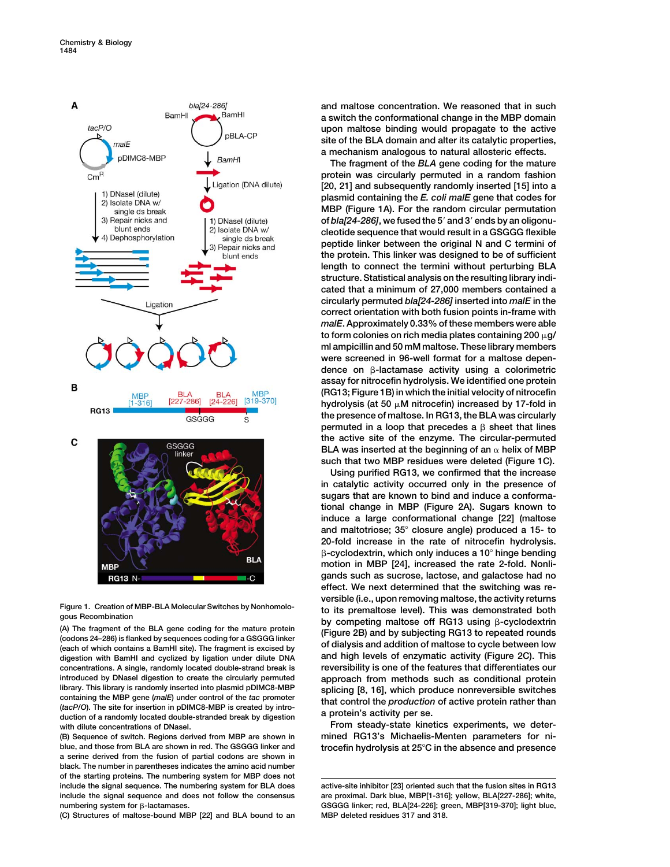

**-cyclodextrin (A) The fragment of the BLA gene coding for the mature protein (Figure 2B) and by subjecting RG13 to repeated rounds (codons 24–286) is flanked by sequences coding for a GSGGG linker (each of which contains a BamHI site). The fragment is excised by of dialysis and addition of maltose to cycle between low digestion with BamHI and cyclized by ligation under dilute DNA and high levels of enzymatic activity (Figure 2C). This concentrations. A single, randomly located double-strand break is reversibility is one of the features that differentiates our introduced by DNaseI digestion to create the circularly permuted approach from methods such as conditional protein** library. This library is randomly inserted into plasmid pDIMC8-MBP<br>
containing the MBP gene (malE) under control of the tac promoter<br>
(tacP/O). The site for insertion in pDIMC8-MBP<br>
duction of active protein rather than<br> **with dilute concentrations of DNaseI. From steady-state kinetics experiments, we deter-**

**blue, and those from BLA are shown in red. The GSGGG linker and trocefin hydrolysis at 25C in the absence and presence a serine derived from the fusion of partial codons are shown in black. The number in parentheses indicates the amino acid number of the starting proteins. The numbering system for MBP does not include the signal sequence. The numbering system for BLA does active-site inhibitor [23] oriented such that the fusion sites in RG13 include the signal sequence and does not follow the consensus are proximal. Dark blue, MBP[1-316]; yellow, BLA[227-286]; white,** numbering system for  $\beta$ -lactamases.

**(C) Structures of maltose-bound MBP [22] and BLA bound to an MBP deleted residues 317 and 318.**

**and maltose concentration. We reasoned that in such a switch the conformational change in the MBP domain upon maltose binding would propagate to the active site of the BLA domain and alter its catalytic properties, a mechanism analogous to natural allosteric effects.**

**The fragment of the** *BLA* **gene coding for the mature protein was circularly permuted in a random fashion [20, 21] and subsequently randomly inserted [15] into a plasmid containing the** *E. coli malE* **gene that codes for MBP (Figure 1A). For the random circular permutation of** *bla[24-286]***, we fused the 5 and 3 ends by an oligonucleotide sequence that would result in a GSGGG flexible peptide linker between the original N and C termini of the protein. This linker was designed to be of sufficient length to connect the termini without perturbing BLA structure. Statistical analysis on the resulting library indicated that a minimum of 27,000 members contained a circularly permuted** *bla[24-286]* **inserted into** *malE* **in the correct orientation with both fusion points in-frame with** *malE***. Approximately 0.33% of these members were able** to form colonies on rich media plates containing  $200 \mu$ g/ **ml ampicillin and 50 mM maltose. These library members were screened in 96-well format for a maltose dependence on** -**-lactamase activity using a colorimetric assay for nitrocefin hydrolysis. We identified one protein (RG13; Figure 1B) in which the initial velocity of nitrocefin hydrolysis (at 50 M nitrocefin) increased by 17-fold in the presence of maltose. In RG13, the BLA was circularly** permuted in a loop that precedes a  $\beta$  sheet that lines **the active site of the enzyme. The circular-permuted BLA** was inserted at the beginning of an  $\alpha$  helix of MBP **such that two MBP residues were deleted (Figure 1C).**

**Using purified RG13, we confirmed that the increase in catalytic activity occurred only in the presence of sugars that are known to bind and induce a conformational change in MBP (Figure 2A). Sugars known to induce a large conformational change [22] (maltose and maltotriose; 35 closure angle) produced a 15- to 20-fold increase in the rate of nitrocefin hydrolysis.** -**-cyclodextrin, which only induces a 10 hinge bending motion in MBP [24], increased the rate 2-fold. Nonligands such as sucrose, lactose, and galactose had no effect. We next determined that the switching was reversible (i.e., upon removing maltose, the activity returns Figure 1. Creation of MBP-BLA Molecular Switches by Nonhomolo- to its premaltose level). This was demonstrated both gous Recombination by competing maltose off RG13 using** -

**(B) Sequence of switch. Regions derived from MBP are shown in mined RG13's Michaelis-Menten parameters for ni-**

GSGGG linker; red, BLA[24-226]; green, MBP[319-370]; light blue,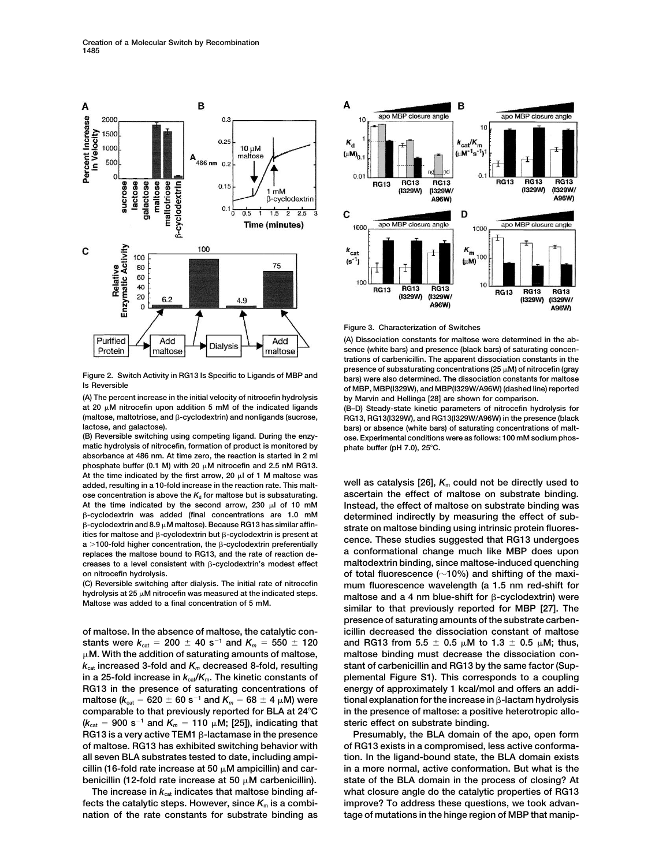

**(A) The percent increase in the initial velocity of nitrocefin hydrolysis by Marvin and Hellinga [28] are shown for comparison. at 20 M nitrocefin upon addition 5 mM of the indicated ligands (B–D) Steady-state kinetic parameters of nitrocefin hydrolysis for** (maltose, maltotriose, and β-cyclodextrin) and nonligands (sucrose,

 $m$ atic hydrolysis of nitrocefin, formation of product is monitored by **absorbance at 486 nm. At time zero, the reaction is started in 2 ml** phosphate buffer (0.1 M) with 20  $\mu$ M nitrocefin and 2.5 nM RG13. At the time indicated by the first arrow, 20  $\mu$  of 1 M maltose was **added, resulting in a 10-fold increase in the reaction rate. This malt- well as catalysis [26],** *K***<sup>m</sup> could not be directly used to** ose concentration is above the  $K_d$  for maltose but is subsaturating. **ascertain the effect of maltose on substrate binding. At the time indicated by the second arrow, 230 l of 10 mM Instead, the effect of maltose on substrate binding was** B-cyclodextrin was added (final concentrations are 1.0 mM  $\beta$ -cyclodextrin and 8.9  $\mu$ M maltose). Because RG13 has similar affinities for maltose and  $\beta$ -cyclodextrin but  $\beta$ -cyclodextrin is present at  $a > 100$ -fold higher concentration, the  $\beta$ -cyclodextrin preferentially replaces the maltose bound to RG13, and the rate of reaction decreases to a level consistent with  $\beta$ -cyclodextrin's modest effect

**(C) Reversible switching after dialysis. The initial rate of nitrocefin mum fluorescence wavelength (a 1.5 nm red-shift for**

**stants were**  $k_{\text{cat}} = 200 \pm 40 \text{ s}^{-1}$  and  $K_m = 550 \pm 120$  and RG13 from 5.5  $\pm$  0.5  $\mu$ M to 1.3  $\pm$  0.5  $\mu$ M; thus, **M. With the addition of saturating amounts of maltose, maltose binding must decrease the dissociation con** $k_{\text{cat}}$  increased 3-fold and  $K_m$  decreased 8-fold, resulting stant of carbenicillin and RG13 by the same factor (Sup**in a 25-fold increase in** *k***cat/***K***m. The kinetic constants of plemental Figure S1). This corresponds to a coupling RG13 in the presence of saturating concentrations of energy of approximately 1 kcal/mol and offers an addimaltose (** $k_{\text{cat}} = 620 \pm 60 \text{ s}^{-1}$  **and**  $K_m = 68 \pm 4 \mu \text{M}$ **) were comparable to that previously reported for BLA at 24C in the presence of maltose: a positive heterotropic allo-**  $(k_{\text{cat}} = 900 \text{ s}^{-1} \text{ and } K_m = 110 \mu\text{m};$  [25]), indicating that steric effect on substrate binding.  $RG13$  is a very active TEM1  $\beta$ -lactamase in the presence



**Figure 3. Characterization of Switches**

**(A) Dissociation constants for maltose were determined in the absence (white bars) and presence (black bars) of saturating concentrations of carbenicillin. The apparent dissociation constants in the** Figure 2. Switch Activity in RG13 Is Specific to Ligands of MBP and<br>Is Reversible state of MBP and bars) were also determined. The dissociation constants for maltose<br>of MBP, MBP(l329W), and MBP(l329W)/A96W) (dashed line) r

RG13, RG13(I329W), and RG13(I329W/A96W) in the presence (black **lactose, and galactose). bars) or absence (white bars) of saturating concentrations of malt** ose. Experimental conditions were as follows: 100 mM sodium phos-<br>phate buffer (pH 7.0), 25°C.

determined indirectly by measuring the effect of sub $strate$  on maltose binding using intrinsic protein fluores-**-cyclodextrin is present at cence. These studies suggested that RG13 undergoes <sup>a</sup> 100-fold higher concentration, the**  $m$ altodextrin binding, since maltose-induced quenching on nitrocefin hydrolysis.<br>(C) Reversible switching after dialysis. The initial rate of nitrocefin **and the maximum fluorescence wavelength (a 1.5 nm red-shift for** hydrolysis at 25 μM nitrocefin was measured at the indicated steps.<br>Maltose was added to a final concentration of 5 mM.<br>Altose was added to a final concentration of 5 mM. similar to that previously reported for MBP [27]. The **presence of saturating amounts of the substrate carbenof maltose. In the absence of maltose, the catalytic con- icillin decreased the dissociation constant of maltose 1 h**  $\beta$  **-lactam hydrolysis** 

**Presumably, the BLA domain of the apo, open form of maltose. RG13 has exhibited switching behavior with of RG13 exists in a compromised, less active conformaall seven BLA substrates tested to date, including ampi- tion. In the ligand-bound state, the BLA domain exists cillin (16-fold rate increase at 50 M ampicillin) and car- in a more normal, active conformation. But what is the benicillin (12-fold rate increase at 50 M carbenicillin). state of the BLA domain in the process of closing? At The increase in** *k***cat indicates that maltose binding af- what closure angle do the catalytic properties of RG13 fects the catalytic steps. However, since** *K***<sup>m</sup> is a combi- improve? To address these questions, we took advannation of the rate constants for substrate binding as tage of mutations in the hinge region of MBP that manip-**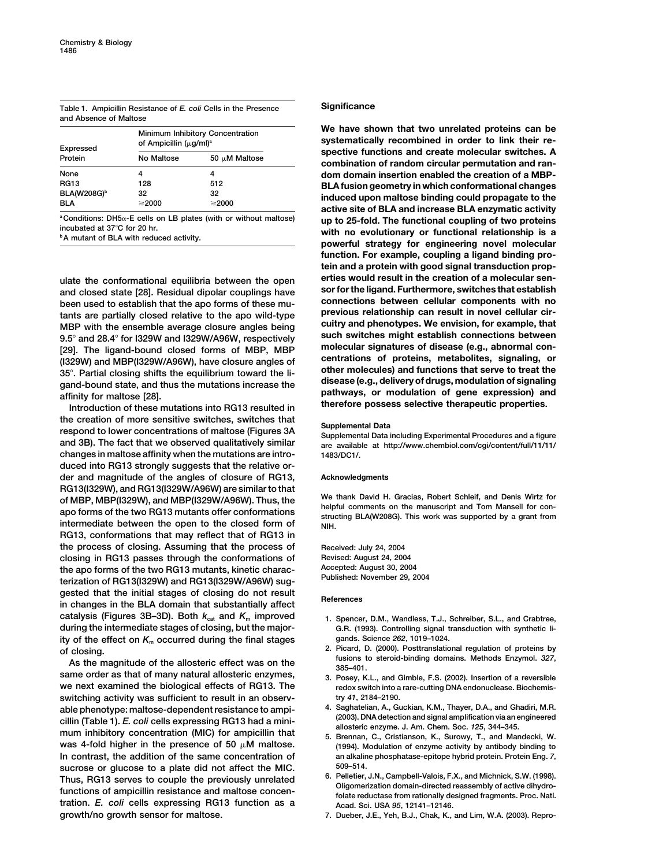**Table 1. Ampicillin Resistance of** *E. coli* **Cells in the Presence Significance and Absence of Maltose**

| <b>Expressed</b><br>Protein    | Minimum Inhibitory Concentration<br>of Ampicillin $(\mu q/ml)^a$ |                    |
|--------------------------------|------------------------------------------------------------------|--------------------|
|                                | No Maltose                                                       | 50 $\mu$ M Maltose |
| None                           | 4                                                                | 4                  |
| <b>RG13</b>                    | 128                                                              | 512                |
| <b>BLA(W208G)</b> <sup>b</sup> | 32                                                               | 32                 |
| <b>BIA</b>                     | $\geq$ 2000                                                      | $\geq$ 2000        |

**sor for the ligand. Furthermore, switches that establish and closed state [28]. Residual dipolar couplings have** been used to establish that the apo forms of these mu-<br>tants are partially closed relative to the apo wild-type **previous relationship can result in novel cellular cirprevious relationship can result in novel cellular cir-**<br>MBD with the ensemble average closure angles being equitry and phenotypes. We envision, for example, that **MBP with the ensemble average closure angles being cuitry and phenotypes. We envision, for example, that**

the creation of more sensitive switches, switches that<br>
respond to lower concentrations of maltose (Figures 3A<br>
supplemental Data including Experimental Procedures and a figure<br>
are available at http://www.chembiol.com/cgi **changes in maltose affinity when the mutations are intro- 1483/DC1/. duced into RG13 strongly suggests that the relative order and magnitude of the angles of closure of RG13, Acknowledgments RG13(I329W), and RG13(I329W/A96W) are similar to that** of MBP, MBP(I329W), and MBP(I329W/A96W). Thus, the We thank David H. Gracias, Robert Schleif, and Denis Wirtz for<br>apo forms of the two RG13 mutants offer conformations<br>intermediate between the open to the closed form of  $\$ **RG13, conformations that may reflect that of RG13 in the process of closing. Assuming that the process of Received: July 24, 2004 closing in RG13 passes through the conformations of Revised: August 24, 2004 Accepted: August 30, 2004 the apo forms of the two RG13 mutants, kinetic charac- Published: November 29, 2004 terization of RG13(I329W) and RG13(I329W/A96W) sug**gested that the initial stages of closing do not result<br>in changes in the BLA domain that substantially affect<br>**References catalysis (Figures 3B–3D). Both** *k***cat and** *K***<sup>m</sup> improved 1. Spencer, D.M., Wandless, T.J., Schreiber, S.L., and Crabtree, during the intermediate stages of closing, but the major- G.R. (1993). Controlling signal transduction with synthetic ligands. Science** *262***, 1019–1024. ity of the effect on** *K***<sup>m</sup> occurred during the final stages**

**same order as that of many natural allosteric enzymes, 3. Posey, K.L., and Gimble, F.S. (2002). Insertion of a reversible we next examined the biological effects of RG13. The redox switch into a rare-cutting DNA endonuclease. Biochemisswitching activity was sufficient to result in an observ- try** *41***, 2184–2190.** able phenotype: maltose-dependent resistance to ampi-<br>cillin (Table 1). E. coli cells expressing RG13 had a mini-<br>mum inhibitory concentration (MIC) for ampicillin that <br>mum inhibitory concentration (MIC) for ampicillin th was 4-fold higher in the presence of 50  $\mu$ M maltose. (1994). Modulation of enzyme activity by antibody binding to In contrast, the addition of the same concentration of an alkaline phosphatase-epitope hybrid protein. Protein Eng. 7,<br>  $509-514$ . **sucrose or glucose to a plate did not affect the MIC. 509–514.** Thus, RG13 serves to couple the previously unrelated<br>functions of ampicillin resistance and maltose concen-<br>folate reductase from rationally designed fragments. Proc. Natl. **tration.** *E. coli* **cells expressing RG13 function as a Acad. Sci. USA** *95***, 12141–12146.**

We have shown that two unrelated proteins can be systematically recombined in order to link their re-**Expressed spective functions and create molecular switches. A Protein No Maltose 50 M Maltose combination of random circular permutation and ran**dom domain insertion enabled the creation of a MBP-**RG13 128 512 BLA fusion geometry in which conformational changes BLA(W208G)b 32 32 induced upon maltose binding could propagate to the BLA 2000 active site of BLA and increase BLA enzymatic activity**<br>
<sup>2</sup> Conditions: DH5<sub><sup> $\alpha$ </sup>-E cells on LB plates (with or without maltose) **and the functional coupling of two proteins**</sub>  $P_{\text{nonditions}}$ : DH5 $\alpha$ -E cells on LB plates (with or without maltose) **up to 25-fold. The functional coupling of two proteins**<br>incubated at 37°C for 20 hr.<br><sup>b</sup> mutant of BLA with reduced activity. **the protein strategy for function. For example, coupling a ligand binding protein and a protein with good signal transduction properties would result in the creation of a molecular sen- ulate the conformational equilibria between the open** 9.5° and 28.4° for 1329W and 1329W/A96W, respectively<br>
[29]. The ligand-bound closed forms of MBP, MBP<br>
(1329W) and MBP(1329W/A96W), have closure angles of<br>
35°. Partial closing shifts the equilibrium toward the li-<br>
gand-

- 
- of closing.<br>As the magnitude of the allosteric effect was on the the same of the steroid-binding domains. Methods Enzymol.<br>As the magnitude of the allosteric effect was on the same fusions to steroid-binding domains. Metho
	-
	-
	-
	-
	- **growth/no growth sensor for maltose. 7. Dueber, J.E., Yeh, B.J., Chak, K., and Lim, W.A. (2003). Repro-**